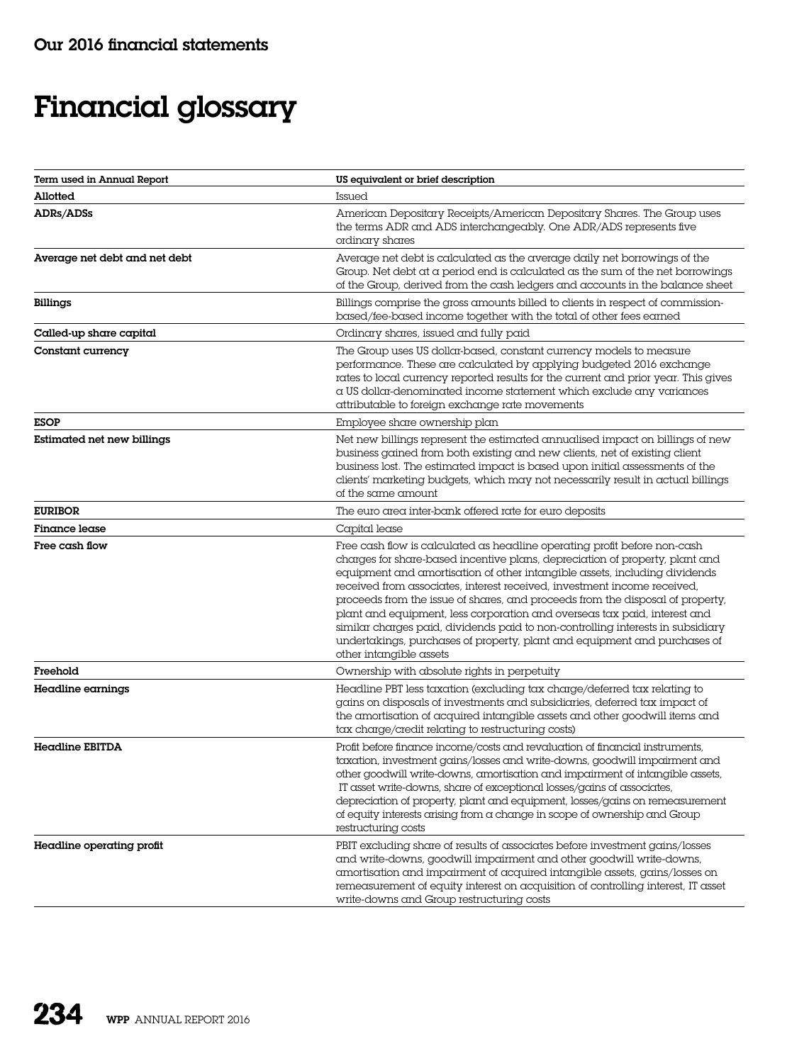## Financial glossary

| Term used in Annual Report    | US equivalent or brief description                                                                                                                                                                                                                                                                                                                                                                                                                                                                                                                                                                                                                                            |
|-------------------------------|-------------------------------------------------------------------------------------------------------------------------------------------------------------------------------------------------------------------------------------------------------------------------------------------------------------------------------------------------------------------------------------------------------------------------------------------------------------------------------------------------------------------------------------------------------------------------------------------------------------------------------------------------------------------------------|
| Allotted                      | Issued                                                                                                                                                                                                                                                                                                                                                                                                                                                                                                                                                                                                                                                                        |
| <b>ADRs/ADSs</b>              | American Depositary Receipts/American Depositary Shares. The Group uses<br>the terms ADR and ADS interchangeably. One ADR/ADS represents five<br>ordinary shares                                                                                                                                                                                                                                                                                                                                                                                                                                                                                                              |
| Average net debt and net debt | Average net debt is calculated as the average daily net borrowings of the<br>Group. Net debt at a period end is calculated as the sum of the net borrowings<br>of the Group, derived from the cash ledgers and accounts in the balance sheet                                                                                                                                                                                                                                                                                                                                                                                                                                  |
| <b>Billings</b>               | Billings comprise the gross amounts billed to clients in respect of commission-<br>based/fee-based income together with the total of other fees earned                                                                                                                                                                                                                                                                                                                                                                                                                                                                                                                        |
| Called-up share capital       | Ordinary shares, issued and fully paid                                                                                                                                                                                                                                                                                                                                                                                                                                                                                                                                                                                                                                        |
| Constant currency             | The Group uses US dollar-based, constant currency models to measure<br>performance. These are calculated by applying budgeted 2016 exchange<br>rates to local currency reported results for the current and prior year. This gives<br>a US dollar-denominated income statement which exclude any variances<br>attributable to foreign exchange rate movements                                                                                                                                                                                                                                                                                                                 |
| <b>ESOP</b>                   | Employee share ownership plan                                                                                                                                                                                                                                                                                                                                                                                                                                                                                                                                                                                                                                                 |
| Estimated net new billings    | Net new billings represent the estimated annualised impact on billings of new<br>business gained from both existing and new clients, net of existing client<br>business lost. The estimated impact is based upon initial assessments of the<br>clients' marketing budgets, which may not necessarily result in actual billings<br>of the same amount                                                                                                                                                                                                                                                                                                                          |
| <b>EURIBOR</b>                | The euro area inter-bank offered rate for euro deposits                                                                                                                                                                                                                                                                                                                                                                                                                                                                                                                                                                                                                       |
| <b>Finance lease</b>          | Capital lease                                                                                                                                                                                                                                                                                                                                                                                                                                                                                                                                                                                                                                                                 |
| Free cash flow                | Free cash flow is calculated as headline operating profit before non-cash<br>charges for share-based incentive plans, depreciation of property, plant and<br>equipment and amortisation of other intangible assets, including dividends<br>received from associates, interest received, investment income received,<br>proceeds from the issue of shares, and proceeds from the disposal of property,<br>plant and equipment, less corporation and overseas tax paid, interest and<br>similar charges paid, dividends paid to non-controlling interests in subsidiary<br>undertakings, purchases of property, plant and equipment and purchases of<br>other intangible assets |
| Freehold                      | Ownership with absolute rights in perpetuity                                                                                                                                                                                                                                                                                                                                                                                                                                                                                                                                                                                                                                  |
| Headline earnings             | Headline PBT less taxation (excluding tax charge/deferred tax relating to<br>gains on disposals of investments and subsidiaries, deferred tax impact of<br>the amortisation of acquired intangible assets and other goodwill items and<br>tax charge/credit relating to restructuring costs)                                                                                                                                                                                                                                                                                                                                                                                  |
| Headline EBITDA               | Profit before finance income/costs and revaluation of financial instruments,<br>taxation, investment gains/losses and write-downs, goodwill impairment and<br>other goodwill write-downs, amortisation and impairment of intangible assets,<br>IT asset write-downs, share of exceptional losses/gains of associates,<br>depreciation of property, plant and equipment, losses/gains on remeasurement<br>of equity interests arising from a change in scope of ownership and Group<br>restructuring costs                                                                                                                                                                     |
| Headline operating profit     | PBIT excluding share of results of associates before investment gains/losses<br>and write-downs, goodwill impairment and other goodwill write-downs,<br>amortisation and impairment of acquired intangible assets, gains/losses on<br>remeasurement of equity interest on acquisition of controlling interest, IT asset<br>write-downs and Group restructuring costs                                                                                                                                                                                                                                                                                                          |